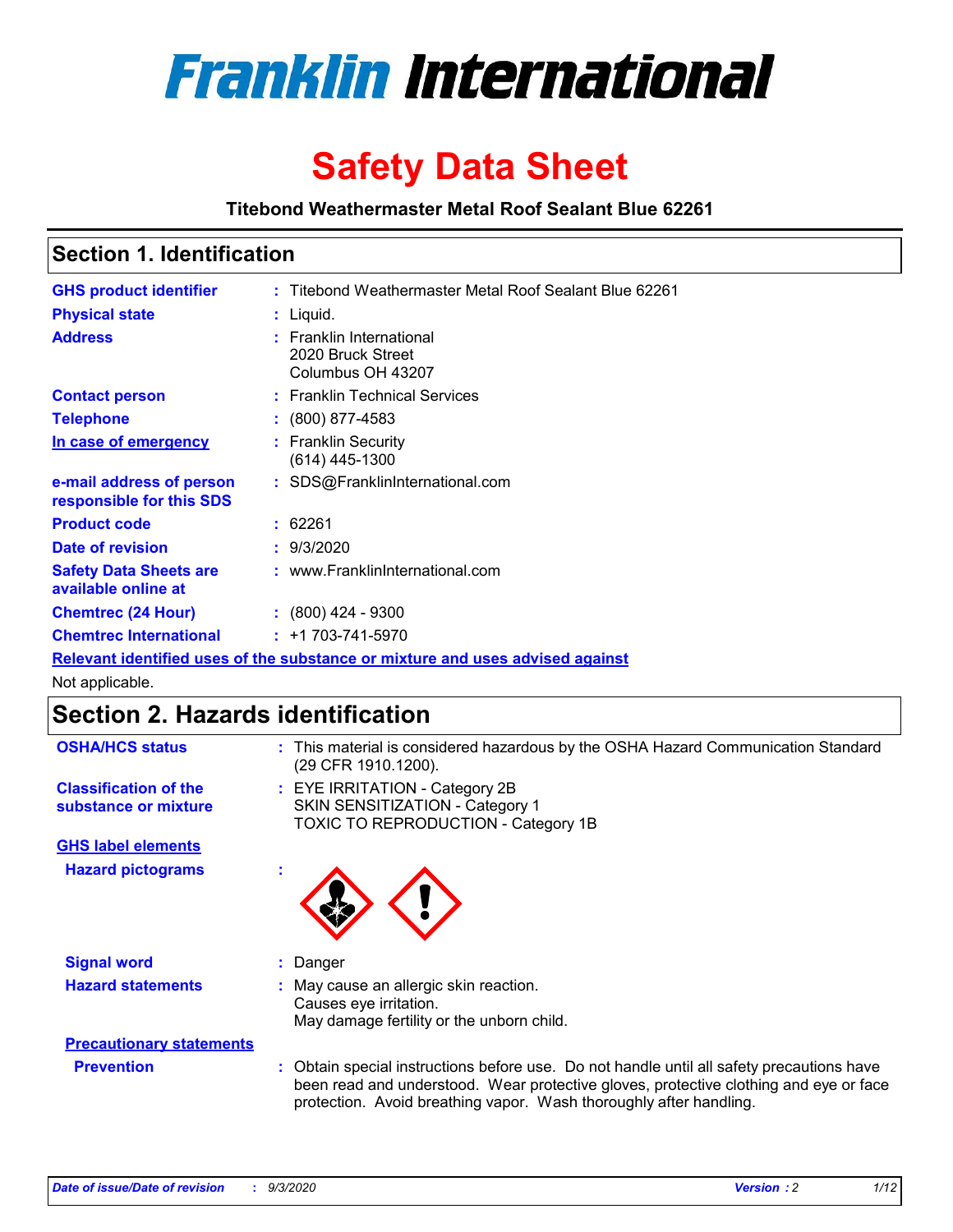

# **Safety Data Sheet**

**Titebond Weathermaster Metal Roof Sealant Blue 62261**

### **Section 1. Identification**

| <b>GHS product identifier</b>                                                 |  | : Titebond Weathermaster Metal Roof Sealant Blue 62261             |  |  |
|-------------------------------------------------------------------------------|--|--------------------------------------------------------------------|--|--|
| <b>Physical state</b>                                                         |  | : Liquid.                                                          |  |  |
| <b>Address</b>                                                                |  | : Franklin International<br>2020 Bruck Street<br>Columbus OH 43207 |  |  |
| <b>Contact person</b>                                                         |  | : Franklin Technical Services                                      |  |  |
| <b>Telephone</b>                                                              |  | $\colon$ (800) 877-4583                                            |  |  |
| In case of emergency                                                          |  | : Franklin Security<br>(614) 445-1300                              |  |  |
| e-mail address of person<br>responsible for this SDS                          |  | : SDS@FranklinInternational.com                                    |  |  |
| <b>Product code</b>                                                           |  | : 62261                                                            |  |  |
| Date of revision                                                              |  | : 9/3/2020                                                         |  |  |
| <b>Safety Data Sheets are</b><br>available online at                          |  | : www.FranklinInternational.com                                    |  |  |
| <b>Chemtrec (24 Hour)</b>                                                     |  | $: (800)$ 424 - 9300                                               |  |  |
| <b>Chemtrec International</b>                                                 |  | $: +1703 - 741 - 5970$                                             |  |  |
| Relevant identified uses of the substance or mixture and uses advised against |  |                                                                    |  |  |

Not applicable.

# **Section 2. Hazards identification**

| <b>OSHA/HCS status</b>                               |    | : This material is considered hazardous by the OSHA Hazard Communication Standard<br>(29 CFR 1910.1200).                                                                                                                                                 |  |  |
|------------------------------------------------------|----|----------------------------------------------------------------------------------------------------------------------------------------------------------------------------------------------------------------------------------------------------------|--|--|
| <b>Classification of the</b><br>substance or mixture |    | : EYE IRRITATION - Category 2B<br>SKIN SENSITIZATION - Category 1<br>TOXIC TO REPRODUCTION - Category 1B                                                                                                                                                 |  |  |
| <b>GHS label elements</b>                            |    |                                                                                                                                                                                                                                                          |  |  |
| <b>Hazard pictograms</b>                             | ٠  |                                                                                                                                                                                                                                                          |  |  |
| <b>Signal word</b>                                   | ÷. | Danger                                                                                                                                                                                                                                                   |  |  |
| <b>Hazard statements</b>                             |    | May cause an allergic skin reaction.<br>Causes eye irritation.<br>May damage fertility or the unborn child.                                                                                                                                              |  |  |
| <b>Precautionary statements</b>                      |    |                                                                                                                                                                                                                                                          |  |  |
| <b>Prevention</b>                                    |    | : Obtain special instructions before use. Do not handle until all safety precautions have<br>been read and understood. Wear protective gloves, protective clothing and eye or face<br>protection. Avoid breathing vapor. Wash thoroughly after handling. |  |  |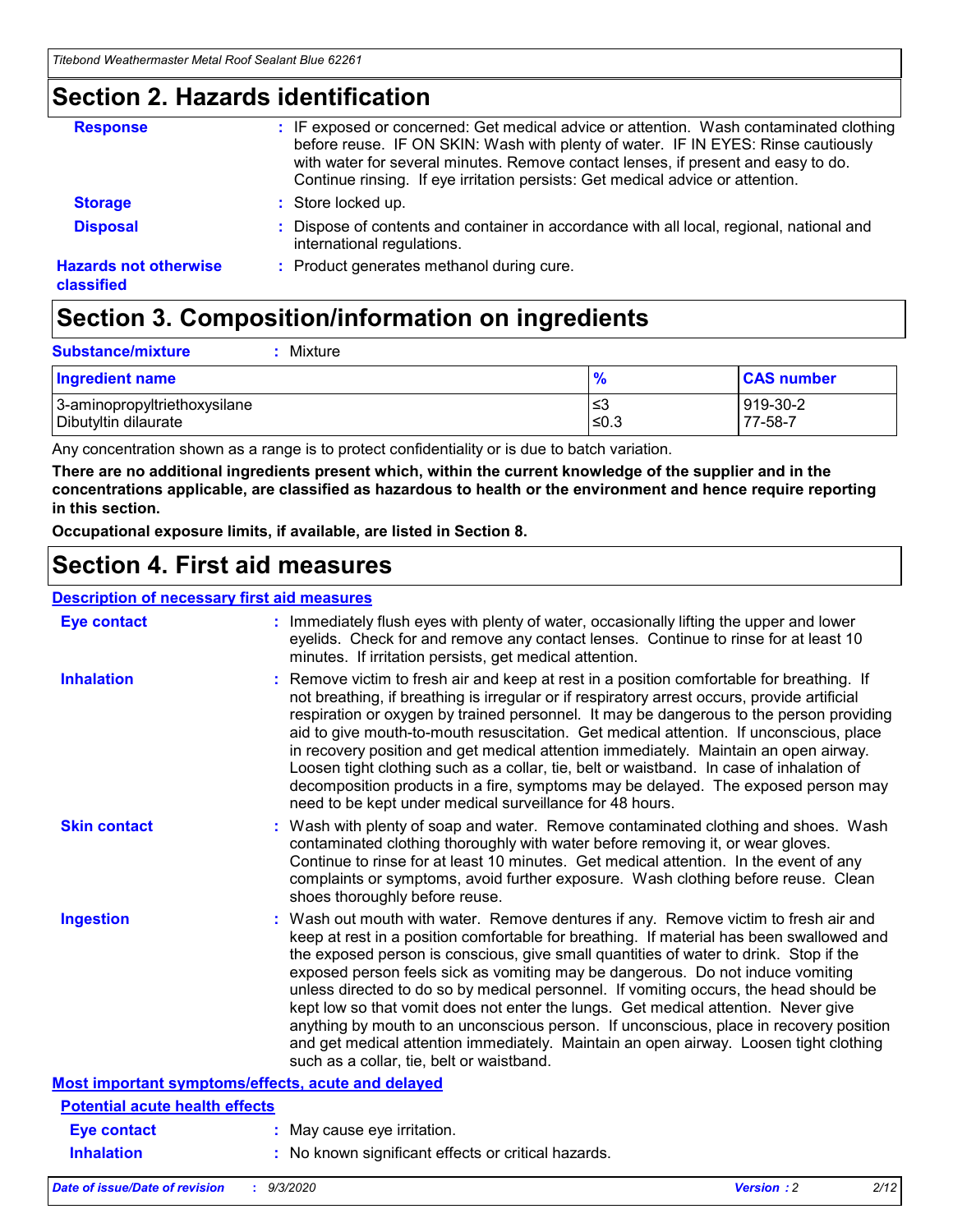### **Section 2. Hazards identification**

| <b>Response</b>                            | : IF exposed or concerned: Get medical advice or attention. Wash contaminated clothing<br>before reuse. IF ON SKIN: Wash with plenty of water. IF IN EYES: Rinse cautiously<br>with water for several minutes. Remove contact lenses, if present and easy to do.<br>Continue rinsing. If eye irritation persists: Get medical advice or attention. |
|--------------------------------------------|----------------------------------------------------------------------------------------------------------------------------------------------------------------------------------------------------------------------------------------------------------------------------------------------------------------------------------------------------|
| <b>Storage</b>                             | : Store locked up.                                                                                                                                                                                                                                                                                                                                 |
| <b>Disposal</b>                            | : Dispose of contents and container in accordance with all local, regional, national and<br>international regulations.                                                                                                                                                                                                                             |
| <b>Hazards not otherwise</b><br>classified | : Product generates methanol during cure.                                                                                                                                                                                                                                                                                                          |

# **Section 3. Composition/information on ingredients**

| <b>Ingredient name</b>       | $\frac{9}{6}$ | <b>CAS number</b> |
|------------------------------|---------------|-------------------|
| 3-aminopropyltriethoxysilane | ≤3            | 919-30-2          |
| Dibutyltin dilaurate         | ∣≤0.3         | $77 - 58 - 1$     |

Any concentration shown as a range is to protect confidentiality or is due to batch variation.

**There are no additional ingredients present which, within the current knowledge of the supplier and in the concentrations applicable, are classified as hazardous to health or the environment and hence require reporting in this section.**

**Occupational exposure limits, if available, are listed in Section 8.**

### **Section 4. First aid measures**

| <b>Description of necessary first aid measures</b> |                                                                                                                                                                                                                                                                                                                                                                                                                                                                                                                                                                                                                                                                                                                                                                           |
|----------------------------------------------------|---------------------------------------------------------------------------------------------------------------------------------------------------------------------------------------------------------------------------------------------------------------------------------------------------------------------------------------------------------------------------------------------------------------------------------------------------------------------------------------------------------------------------------------------------------------------------------------------------------------------------------------------------------------------------------------------------------------------------------------------------------------------------|
| <b>Eye contact</b>                                 | : Immediately flush eyes with plenty of water, occasionally lifting the upper and lower<br>eyelids. Check for and remove any contact lenses. Continue to rinse for at least 10<br>minutes. If irritation persists, get medical attention.                                                                                                                                                                                                                                                                                                                                                                                                                                                                                                                                 |
| <b>Inhalation</b>                                  | : Remove victim to fresh air and keep at rest in a position comfortable for breathing. If<br>not breathing, if breathing is irregular or if respiratory arrest occurs, provide artificial<br>respiration or oxygen by trained personnel. It may be dangerous to the person providing<br>aid to give mouth-to-mouth resuscitation. Get medical attention. If unconscious, place<br>in recovery position and get medical attention immediately. Maintain an open airway.<br>Loosen tight clothing such as a collar, tie, belt or waistband. In case of inhalation of<br>decomposition products in a fire, symptoms may be delayed. The exposed person may<br>need to be kept under medical surveillance for 48 hours.                                                       |
| <b>Skin contact</b>                                | : Wash with plenty of soap and water. Remove contaminated clothing and shoes. Wash<br>contaminated clothing thoroughly with water before removing it, or wear gloves.<br>Continue to rinse for at least 10 minutes. Get medical attention. In the event of any<br>complaints or symptoms, avoid further exposure. Wash clothing before reuse. Clean<br>shoes thoroughly before reuse.                                                                                                                                                                                                                                                                                                                                                                                     |
| <b>Ingestion</b>                                   | : Wash out mouth with water. Remove dentures if any. Remove victim to fresh air and<br>keep at rest in a position comfortable for breathing. If material has been swallowed and<br>the exposed person is conscious, give small quantities of water to drink. Stop if the<br>exposed person feels sick as vomiting may be dangerous. Do not induce vomiting<br>unless directed to do so by medical personnel. If vomiting occurs, the head should be<br>kept low so that vomit does not enter the lungs. Get medical attention. Never give<br>anything by mouth to an unconscious person. If unconscious, place in recovery position<br>and get medical attention immediately. Maintain an open airway. Loosen tight clothing<br>such as a collar, tie, belt or waistband. |
| Most important symptoms/effects, acute and delayed |                                                                                                                                                                                                                                                                                                                                                                                                                                                                                                                                                                                                                                                                                                                                                                           |
| <b>Potential acute health effects</b>              |                                                                                                                                                                                                                                                                                                                                                                                                                                                                                                                                                                                                                                                                                                                                                                           |
| Eye contact                                        | : May cause eye irritation.                                                                                                                                                                                                                                                                                                                                                                                                                                                                                                                                                                                                                                                                                                                                               |
| <b>Inhalation</b>                                  | : No known significant effects or critical hazards.                                                                                                                                                                                                                                                                                                                                                                                                                                                                                                                                                                                                                                                                                                                       |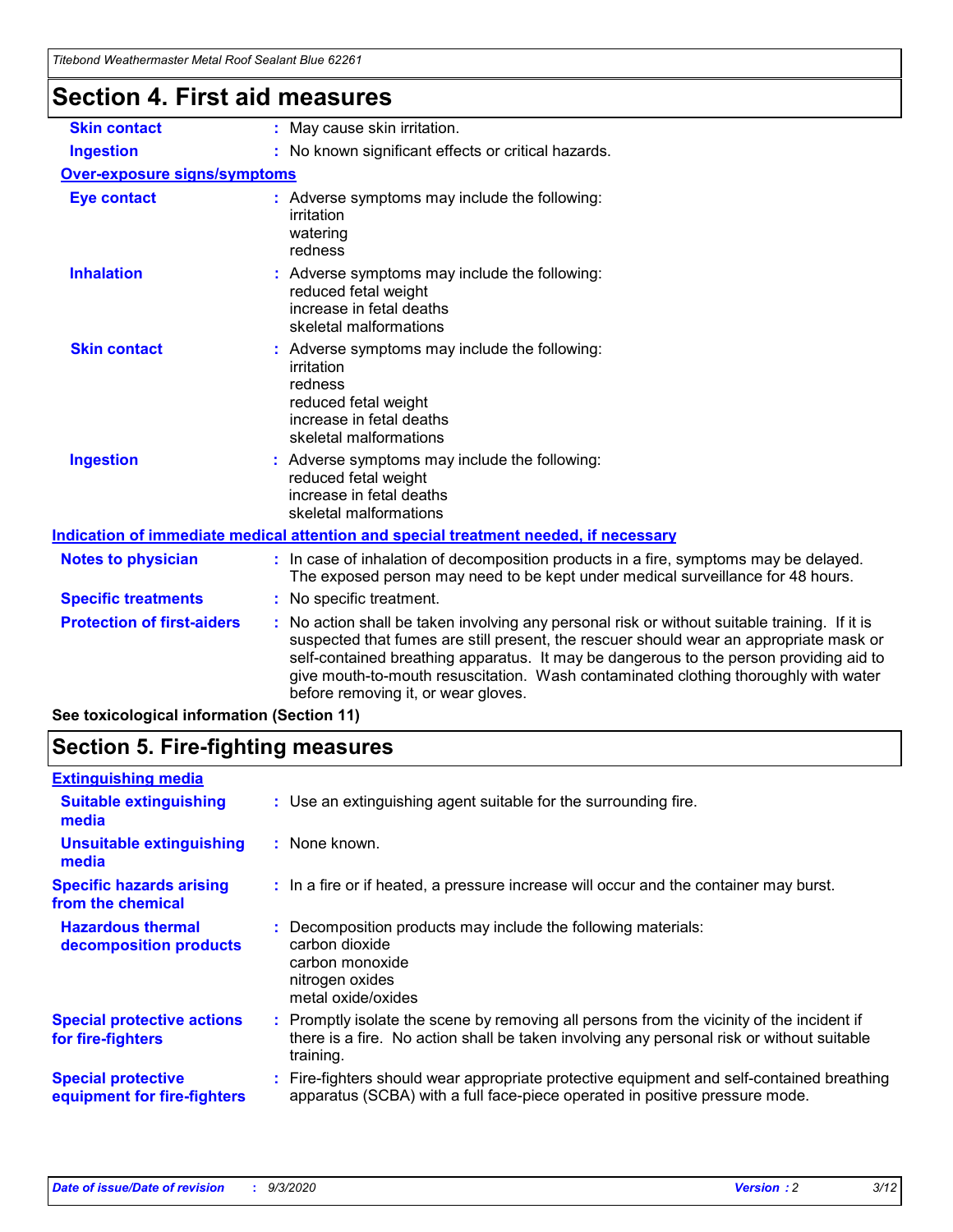| <u>ncoond weallennasich wetan Noor Ocalant Dide UZZU</u> |                                                                                                                                                                                                                                                                                                                                                                                                                 |  |  |
|----------------------------------------------------------|-----------------------------------------------------------------------------------------------------------------------------------------------------------------------------------------------------------------------------------------------------------------------------------------------------------------------------------------------------------------------------------------------------------------|--|--|
| <b>Section 4. First aid measures</b>                     |                                                                                                                                                                                                                                                                                                                                                                                                                 |  |  |
| <b>Skin contact</b>                                      | : May cause skin irritation.                                                                                                                                                                                                                                                                                                                                                                                    |  |  |
| <b>Ingestion</b>                                         | : No known significant effects or critical hazards.                                                                                                                                                                                                                                                                                                                                                             |  |  |
| <b>Over-exposure signs/symptoms</b>                      |                                                                                                                                                                                                                                                                                                                                                                                                                 |  |  |
| <b>Eye contact</b>                                       | : Adverse symptoms may include the following:<br>irritation<br>watering<br>redness                                                                                                                                                                                                                                                                                                                              |  |  |
| <b>Inhalation</b>                                        | : Adverse symptoms may include the following:<br>reduced fetal weight<br>increase in fetal deaths<br>skeletal malformations                                                                                                                                                                                                                                                                                     |  |  |
| <b>Skin contact</b>                                      | : Adverse symptoms may include the following:<br>irritation<br>redness<br>reduced fetal weight<br>increase in fetal deaths<br>skeletal malformations                                                                                                                                                                                                                                                            |  |  |
| <b>Ingestion</b>                                         | : Adverse symptoms may include the following:<br>reduced fetal weight<br>increase in fetal deaths<br>skeletal malformations                                                                                                                                                                                                                                                                                     |  |  |
|                                                          | Indication of immediate medical attention and special treatment needed, if necessary                                                                                                                                                                                                                                                                                                                            |  |  |
| <b>Notes to physician</b>                                | : In case of inhalation of decomposition products in a fire, symptoms may be delayed.<br>The exposed person may need to be kept under medical surveillance for 48 hours.                                                                                                                                                                                                                                        |  |  |
| <b>Specific treatments</b>                               | : No specific treatment.                                                                                                                                                                                                                                                                                                                                                                                        |  |  |
| <b>Protection of first-aiders</b>                        | : No action shall be taken involving any personal risk or without suitable training. If it is<br>suspected that fumes are still present, the rescuer should wear an appropriate mask or<br>self-contained breathing apparatus. It may be dangerous to the person providing aid to<br>give mouth-to-mouth resuscitation. Wash contaminated clothing thoroughly with water<br>before removing it, or wear gloves. |  |  |
| See toxicological information (Section 11)               |                                                                                                                                                                                                                                                                                                                                                                                                                 |  |  |

# **Section 5. Fire-fighting measures**

| <b>Extinguishing media</b>                               |                                                                                                                                                                                                   |
|----------------------------------------------------------|---------------------------------------------------------------------------------------------------------------------------------------------------------------------------------------------------|
| <b>Suitable extinguishing</b><br>media                   | : Use an extinguishing agent suitable for the surrounding fire.                                                                                                                                   |
| <b>Unsuitable extinguishing</b><br>media                 | : None known.                                                                                                                                                                                     |
| <b>Specific hazards arising</b><br>from the chemical     | : In a fire or if heated, a pressure increase will occur and the container may burst.                                                                                                             |
| <b>Hazardous thermal</b><br>decomposition products       | Decomposition products may include the following materials:<br>carbon dioxide<br>carbon monoxide<br>nitrogen oxides<br>metal oxide/oxides                                                         |
| <b>Special protective actions</b><br>for fire-fighters   | Promptly isolate the scene by removing all persons from the vicinity of the incident if<br>there is a fire. No action shall be taken involving any personal risk or without suitable<br>training. |
| <b>Special protective</b><br>equipment for fire-fighters | Fire-fighters should wear appropriate protective equipment and self-contained breathing<br>apparatus (SCBA) with a full face-piece operated in positive pressure mode.                            |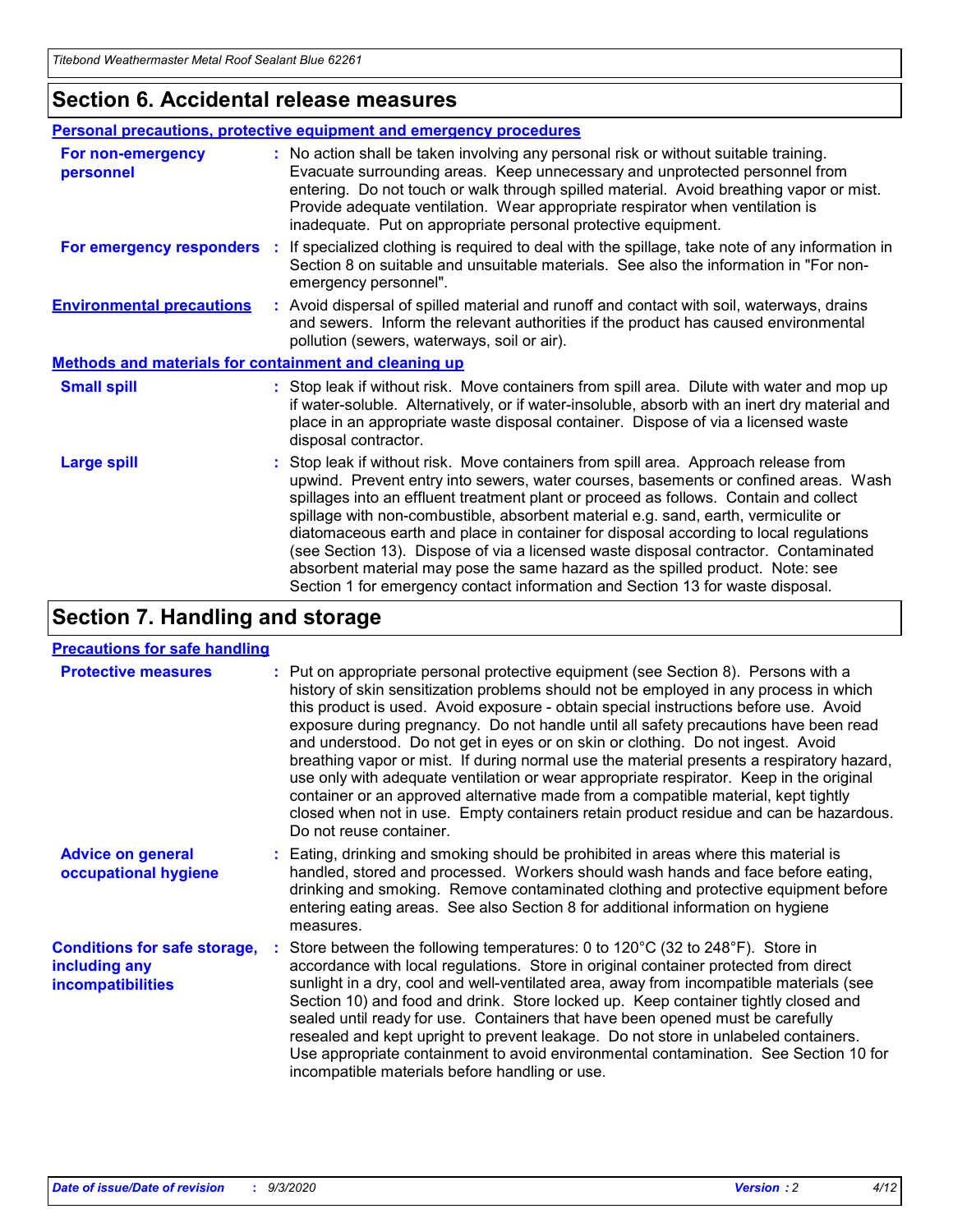### **Section 6. Accidental release measures**

|                                                              | Personal precautions, protective equipment and emergency procedures                                                                                                                                                                                                                                                                                                                                                                                                                                                                                                                                                                                                                                          |  |  |  |
|--------------------------------------------------------------|--------------------------------------------------------------------------------------------------------------------------------------------------------------------------------------------------------------------------------------------------------------------------------------------------------------------------------------------------------------------------------------------------------------------------------------------------------------------------------------------------------------------------------------------------------------------------------------------------------------------------------------------------------------------------------------------------------------|--|--|--|
| For non-emergency<br>personnel                               | : No action shall be taken involving any personal risk or without suitable training.<br>Evacuate surrounding areas. Keep unnecessary and unprotected personnel from<br>entering. Do not touch or walk through spilled material. Avoid breathing vapor or mist.<br>Provide adequate ventilation. Wear appropriate respirator when ventilation is<br>inadequate. Put on appropriate personal protective equipment.                                                                                                                                                                                                                                                                                             |  |  |  |
| For emergency responders                                     | : If specialized clothing is required to deal with the spillage, take note of any information in<br>Section 8 on suitable and unsuitable materials. See also the information in "For non-<br>emergency personnel".                                                                                                                                                                                                                                                                                                                                                                                                                                                                                           |  |  |  |
| <b>Environmental precautions</b>                             | : Avoid dispersal of spilled material and runoff and contact with soil, waterways, drains<br>and sewers. Inform the relevant authorities if the product has caused environmental<br>pollution (sewers, waterways, soil or air).                                                                                                                                                                                                                                                                                                                                                                                                                                                                              |  |  |  |
| <b>Methods and materials for containment and cleaning up</b> |                                                                                                                                                                                                                                                                                                                                                                                                                                                                                                                                                                                                                                                                                                              |  |  |  |
| <b>Small spill</b>                                           | : Stop leak if without risk. Move containers from spill area. Dilute with water and mop up<br>if water-soluble. Alternatively, or if water-insoluble, absorb with an inert dry material and<br>place in an appropriate waste disposal container. Dispose of via a licensed waste<br>disposal contractor.                                                                                                                                                                                                                                                                                                                                                                                                     |  |  |  |
| <b>Large spill</b>                                           | : Stop leak if without risk. Move containers from spill area. Approach release from<br>upwind. Prevent entry into sewers, water courses, basements or confined areas. Wash<br>spillages into an effluent treatment plant or proceed as follows. Contain and collect<br>spillage with non-combustible, absorbent material e.g. sand, earth, vermiculite or<br>diatomaceous earth and place in container for disposal according to local regulations<br>(see Section 13). Dispose of via a licensed waste disposal contractor. Contaminated<br>absorbent material may pose the same hazard as the spilled product. Note: see<br>Section 1 for emergency contact information and Section 13 for waste disposal. |  |  |  |

# **Section 7. Handling and storage**

#### **Precautions for safe handling**

| <b>Protective measures</b>                                                       | : Put on appropriate personal protective equipment (see Section 8). Persons with a<br>history of skin sensitization problems should not be employed in any process in which<br>this product is used. Avoid exposure - obtain special instructions before use. Avoid<br>exposure during pregnancy. Do not handle until all safety precautions have been read<br>and understood. Do not get in eyes or on skin or clothing. Do not ingest. Avoid<br>breathing vapor or mist. If during normal use the material presents a respiratory hazard,<br>use only with adequate ventilation or wear appropriate respirator. Keep in the original<br>container or an approved alternative made from a compatible material, kept tightly<br>closed when not in use. Empty containers retain product residue and can be hazardous.<br>Do not reuse container. |
|----------------------------------------------------------------------------------|--------------------------------------------------------------------------------------------------------------------------------------------------------------------------------------------------------------------------------------------------------------------------------------------------------------------------------------------------------------------------------------------------------------------------------------------------------------------------------------------------------------------------------------------------------------------------------------------------------------------------------------------------------------------------------------------------------------------------------------------------------------------------------------------------------------------------------------------------|
| <b>Advice on general</b><br>occupational hygiene                                 | : Eating, drinking and smoking should be prohibited in areas where this material is<br>handled, stored and processed. Workers should wash hands and face before eating,<br>drinking and smoking. Remove contaminated clothing and protective equipment before<br>entering eating areas. See also Section 8 for additional information on hygiene<br>measures.                                                                                                                                                                                                                                                                                                                                                                                                                                                                                    |
| <b>Conditions for safe storage,</b><br>including any<br><i>incompatibilities</i> | Store between the following temperatures: 0 to 120°C (32 to 248°F). Store in<br>accordance with local regulations. Store in original container protected from direct<br>sunlight in a dry, cool and well-ventilated area, away from incompatible materials (see<br>Section 10) and food and drink. Store locked up. Keep container tightly closed and<br>sealed until ready for use. Containers that have been opened must be carefully<br>resealed and kept upright to prevent leakage. Do not store in unlabeled containers.<br>Use appropriate containment to avoid environmental contamination. See Section 10 for<br>incompatible materials before handling or use.                                                                                                                                                                         |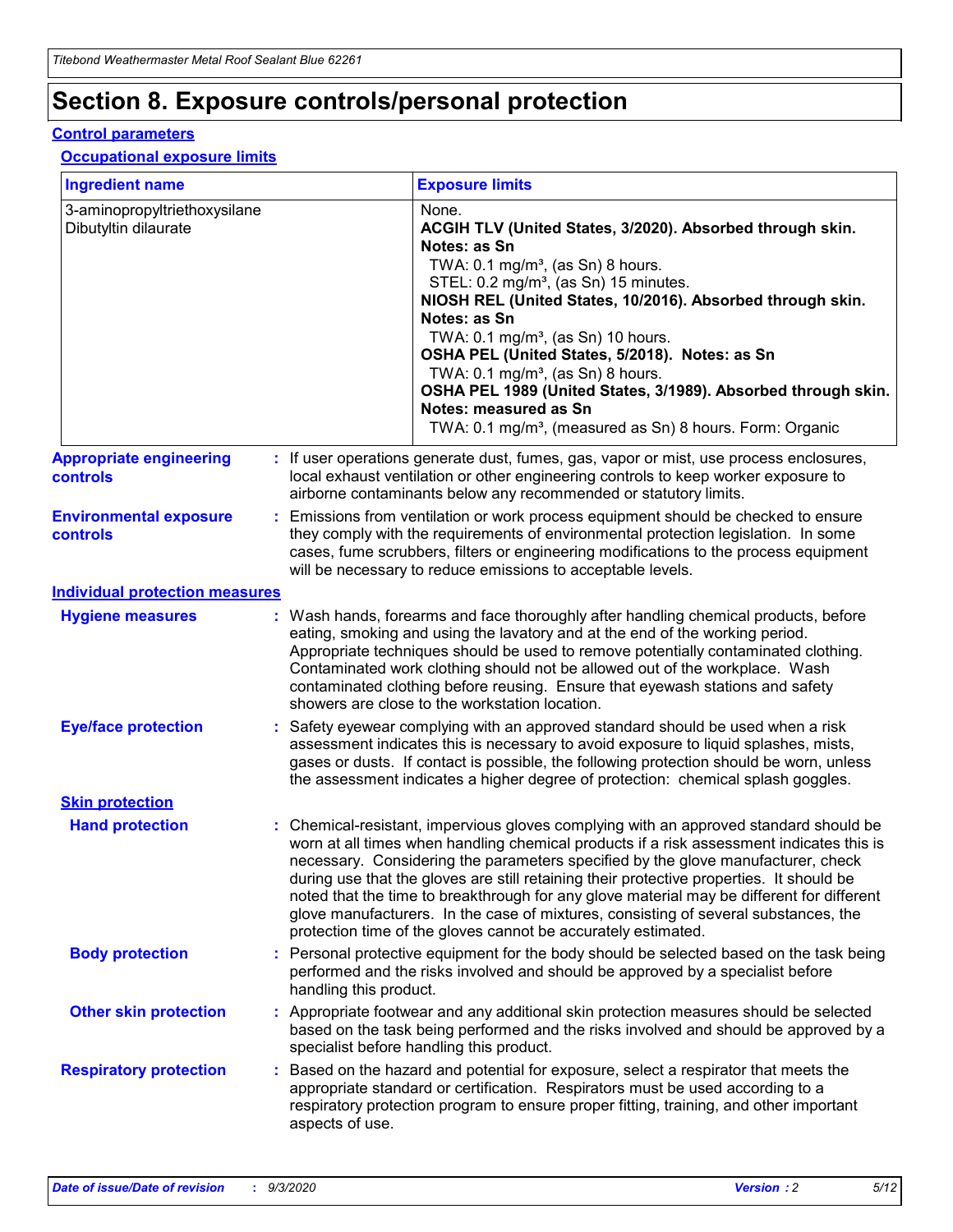# **Section 8. Exposure controls/personal protection**

#### **Control parameters**

#### **Occupational exposure limits**

| <b>Ingredient name</b>                               |    |                                                                                                                                                                                                                                                                                                                                                     | <b>Exposure limits</b>                                                                                                                                                                                                                                                                                                                                                                                                                                                                                                                                                                                                 |  |
|------------------------------------------------------|----|-----------------------------------------------------------------------------------------------------------------------------------------------------------------------------------------------------------------------------------------------------------------------------------------------------------------------------------------------------|------------------------------------------------------------------------------------------------------------------------------------------------------------------------------------------------------------------------------------------------------------------------------------------------------------------------------------------------------------------------------------------------------------------------------------------------------------------------------------------------------------------------------------------------------------------------------------------------------------------------|--|
| 3-aminopropyltriethoxysilane<br>Dibutyltin dilaurate |    |                                                                                                                                                                                                                                                                                                                                                     | None.<br>ACGIH TLV (United States, 3/2020). Absorbed through skin.<br>Notes: as Sn<br>TWA: $0.1 \text{ mg/m}^3$ , (as Sn) 8 hours.<br>STEL: 0.2 mg/m <sup>3</sup> , (as Sn) 15 minutes.<br>NIOSH REL (United States, 10/2016). Absorbed through skin.<br>Notes: as Sn<br>TWA: 0.1 mg/m <sup>3</sup> , (as Sn) 10 hours.<br>OSHA PEL (United States, 5/2018). Notes: as Sn<br>TWA: 0.1 mg/m <sup>3</sup> , (as Sn) 8 hours.<br>OSHA PEL 1989 (United States, 3/1989). Absorbed through skin.<br>Notes: measured as Sn<br>TWA: 0.1 mg/m <sup>3</sup> , (measured as Sn) 8 hours. Form: Organic                           |  |
| <b>Appropriate engineering</b><br>controls           |    |                                                                                                                                                                                                                                                                                                                                                     | : If user operations generate dust, fumes, gas, vapor or mist, use process enclosures,<br>local exhaust ventilation or other engineering controls to keep worker exposure to<br>airborne contaminants below any recommended or statutory limits.                                                                                                                                                                                                                                                                                                                                                                       |  |
| <b>Environmental exposure</b><br>controls            |    |                                                                                                                                                                                                                                                                                                                                                     | Emissions from ventilation or work process equipment should be checked to ensure<br>they comply with the requirements of environmental protection legislation. In some<br>cases, fume scrubbers, filters or engineering modifications to the process equipment<br>will be necessary to reduce emissions to acceptable levels.                                                                                                                                                                                                                                                                                          |  |
| <b>Individual protection measures</b>                |    |                                                                                                                                                                                                                                                                                                                                                     |                                                                                                                                                                                                                                                                                                                                                                                                                                                                                                                                                                                                                        |  |
| <b>Hygiene measures</b>                              |    |                                                                                                                                                                                                                                                                                                                                                     | : Wash hands, forearms and face thoroughly after handling chemical products, before<br>eating, smoking and using the lavatory and at the end of the working period.<br>Appropriate techniques should be used to remove potentially contaminated clothing.<br>Contaminated work clothing should not be allowed out of the workplace. Wash<br>contaminated clothing before reusing. Ensure that eyewash stations and safety<br>showers are close to the workstation location.                                                                                                                                            |  |
| <b>Eye/face protection</b>                           |    | Safety eyewear complying with an approved standard should be used when a risk<br>assessment indicates this is necessary to avoid exposure to liquid splashes, mists,<br>gases or dusts. If contact is possible, the following protection should be worn, unless<br>the assessment indicates a higher degree of protection: chemical splash goggles. |                                                                                                                                                                                                                                                                                                                                                                                                                                                                                                                                                                                                                        |  |
| <b>Skin protection</b>                               |    |                                                                                                                                                                                                                                                                                                                                                     |                                                                                                                                                                                                                                                                                                                                                                                                                                                                                                                                                                                                                        |  |
| <b>Hand protection</b>                               |    |                                                                                                                                                                                                                                                                                                                                                     | : Chemical-resistant, impervious gloves complying with an approved standard should be<br>worn at all times when handling chemical products if a risk assessment indicates this is<br>necessary. Considering the parameters specified by the glove manufacturer, check<br>during use that the gloves are still retaining their protective properties. It should be<br>noted that the time to breakthrough for any glove material may be different for different<br>glove manufacturers. In the case of mixtures, consisting of several substances, the<br>protection time of the gloves cannot be accurately estimated. |  |
| <b>Body protection</b>                               |    | handling this product.                                                                                                                                                                                                                                                                                                                              | Personal protective equipment for the body should be selected based on the task being<br>performed and the risks involved and should be approved by a specialist before                                                                                                                                                                                                                                                                                                                                                                                                                                                |  |
| <b>Other skin protection</b>                         |    |                                                                                                                                                                                                                                                                                                                                                     | : Appropriate footwear and any additional skin protection measures should be selected<br>based on the task being performed and the risks involved and should be approved by a<br>specialist before handling this product.                                                                                                                                                                                                                                                                                                                                                                                              |  |
| <b>Respiratory protection</b>                        | ÷. | aspects of use.                                                                                                                                                                                                                                                                                                                                     | Based on the hazard and potential for exposure, select a respirator that meets the<br>appropriate standard or certification. Respirators must be used according to a<br>respiratory protection program to ensure proper fitting, training, and other important                                                                                                                                                                                                                                                                                                                                                         |  |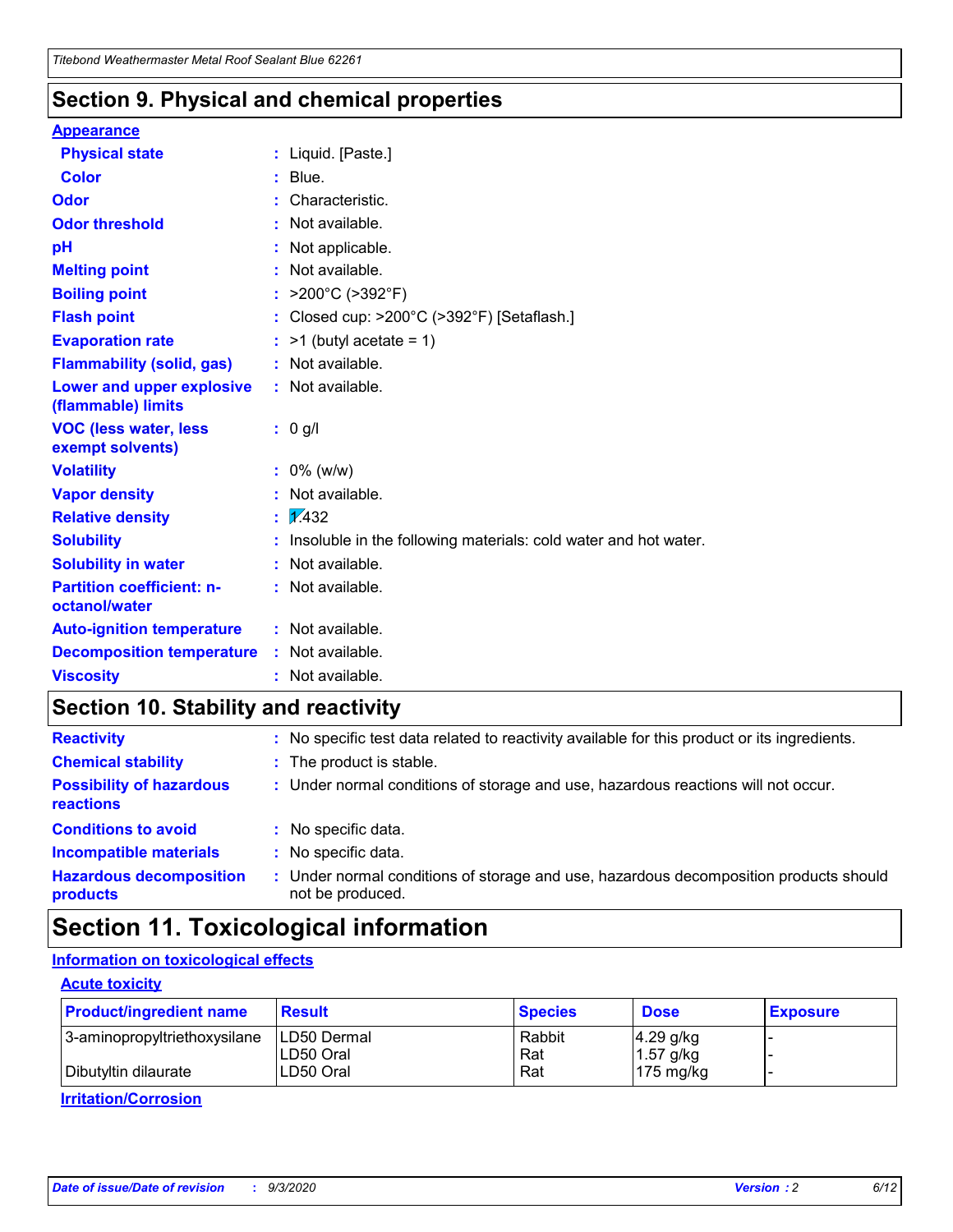### **Section 9. Physical and chemical properties**

#### **Appearance**

| <b>Physical state</b>                             |    | : Liquid. [Paste.]                                              |
|---------------------------------------------------|----|-----------------------------------------------------------------|
| <b>Color</b>                                      |    | Blue.                                                           |
| Odor                                              |    | Characteristic.                                                 |
| <b>Odor threshold</b>                             |    | Not available.                                                  |
| рH                                                |    | Not applicable.                                                 |
| <b>Melting point</b>                              |    | Not available.                                                  |
| <b>Boiling point</b>                              |    | : $>200^{\circ}$ C ( $>392^{\circ}$ F)                          |
| <b>Flash point</b>                                |    | Closed cup: >200°C (>392°F) [Setaflash.]                        |
| <b>Evaporation rate</b>                           |    | $:$ >1 (butyl acetate = 1)                                      |
| <b>Flammability (solid, gas)</b>                  |    | : Not available.                                                |
| Lower and upper explosive<br>(flammable) limits   |    | : Not available.                                                |
| <b>VOC (less water, less</b><br>exempt solvents)  |    | : 0 g/l                                                         |
| <b>Volatility</b>                                 |    | $: 0\%$ (w/w)                                                   |
| <b>Vapor density</b>                              |    | Not available.                                                  |
| <b>Relative density</b>                           | ÷. | $\sqrt{1/432}$                                                  |
| <b>Solubility</b>                                 |    | Insoluble in the following materials: cold water and hot water. |
| <b>Solubility in water</b>                        |    | Not available.                                                  |
| <b>Partition coefficient: n-</b><br>octanol/water |    | : Not available.                                                |
| <b>Auto-ignition temperature</b>                  |    | $:$ Not available.                                              |
| <b>Decomposition temperature</b>                  |    | : Not available.                                                |
| <b>Viscosity</b>                                  |    | $:$ Not available.                                              |

### **Section 10. Stability and reactivity**

| <b>Reactivity</b>                            |    | : No specific test data related to reactivity available for this product or its ingredients.            |
|----------------------------------------------|----|---------------------------------------------------------------------------------------------------------|
| <b>Chemical stability</b>                    |    | : The product is stable.                                                                                |
| <b>Possibility of hazardous</b><br>reactions |    | : Under normal conditions of storage and use, hazardous reactions will not occur.                       |
| <b>Conditions to avoid</b>                   |    | : No specific data.                                                                                     |
| <b>Incompatible materials</b>                | ٠. | No specific data.                                                                                       |
| <b>Hazardous decomposition</b><br>products   | ÷. | Under normal conditions of storage and use, hazardous decomposition products should<br>not be produced. |

# **Section 11. Toxicological information**

#### **Information on toxicological effects**

#### **Acute toxicity**

| <b>Product/ingredient name</b> | <b>Result</b>           | <b>Species</b> | <b>Dose</b>                | <b>Exposure</b> |
|--------------------------------|-------------------------|----------------|----------------------------|-----------------|
| 3-aminopropyltriethoxysilane   | <b>ILD50 Dermal</b>     | Rabbit         | 4.29 g/kg                  |                 |
| Dibutyltin dilaurate           | ILD50 Oral<br>LD50 Oral | Rat<br>Rat     | $1.57$ g/kg<br>175 $mg/kg$ |                 |
|                                |                         |                |                            |                 |

**Irritation/Corrosion**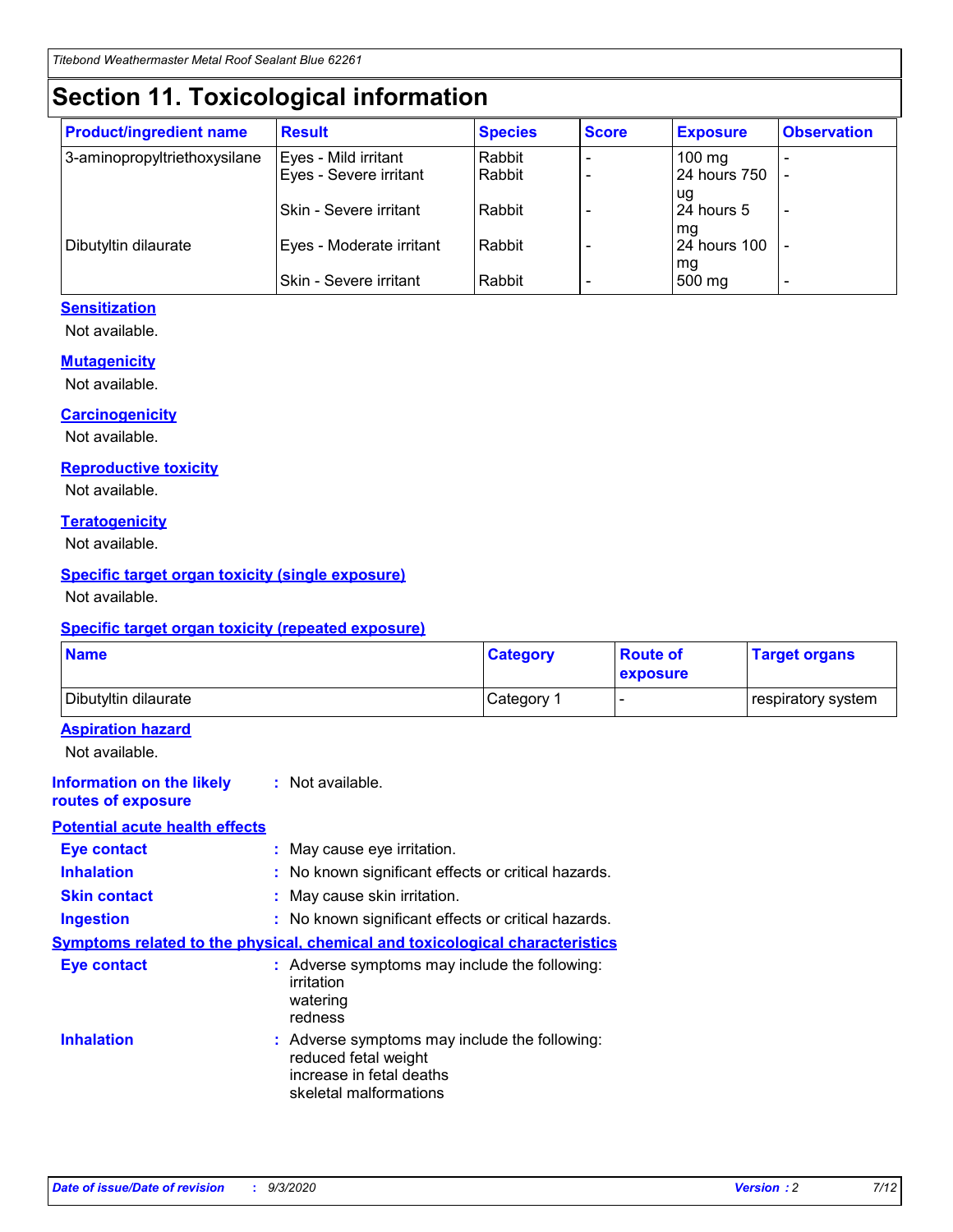# **Section 11. Toxicological information**

| <b>Product/ingredient name</b> | <b>Result</b>                 | <b>Species</b> | <b>Score</b> | <b>Exposure</b>           | <b>Observation</b> |
|--------------------------------|-------------------------------|----------------|--------------|---------------------------|--------------------|
| 3-aminopropyltriethoxysilane   | Eyes - Mild irritant          | Rabbit         |              | $100 \text{ mg}$          |                    |
|                                | Eyes - Severe irritant        | Rabbit         |              | 24 hours 750              |                    |
|                                |                               |                |              | ug                        |                    |
|                                | <b>Skin - Severe irritant</b> | Rabbit         |              | 24 hours 5                | -                  |
| Dibutyltin dilaurate           | Eyes - Moderate irritant      | Rabbit         |              | mq<br><b>24 hours 100</b> |                    |
|                                |                               |                |              | mg                        |                    |
|                                | Skin - Severe irritant        | Rabbit         |              | 500 mg                    |                    |

#### **Sensitization**

Not available.

#### **Mutagenicity**

Not available.

#### **Carcinogenicity**

Not available.

#### **Reproductive toxicity**

Not available.

#### **Teratogenicity**

Not available.

#### **Specific target organ toxicity (single exposure)**

Not available.

#### **Specific target organ toxicity (repeated exposure)**

| <b>Name</b>                                                                  |                                                                                                                             | <b>Category</b>                                     | <b>Route of</b><br>exposure | <b>Target organs</b> |  |  |
|------------------------------------------------------------------------------|-----------------------------------------------------------------------------------------------------------------------------|-----------------------------------------------------|-----------------------------|----------------------|--|--|
| Dibutyltin dilaurate                                                         |                                                                                                                             | Category 1                                          |                             | respiratory system   |  |  |
| <b>Aspiration hazard</b><br>Not available.                                   |                                                                                                                             |                                                     |                             |                      |  |  |
| <b>Information on the likely</b><br>routes of exposure                       | : Not available.                                                                                                            |                                                     |                             |                      |  |  |
| <b>Potential acute health effects</b>                                        |                                                                                                                             |                                                     |                             |                      |  |  |
| <b>Eye contact</b>                                                           | : May cause eye irritation.                                                                                                 |                                                     |                             |                      |  |  |
| <b>Inhalation</b>                                                            |                                                                                                                             | : No known significant effects or critical hazards. |                             |                      |  |  |
| <b>Skin contact</b>                                                          |                                                                                                                             | : May cause skin irritation.                        |                             |                      |  |  |
| <b>Ingestion</b>                                                             |                                                                                                                             | : No known significant effects or critical hazards. |                             |                      |  |  |
| Symptoms related to the physical, chemical and toxicological characteristics |                                                                                                                             |                                                     |                             |                      |  |  |
| <b>Eye contact</b>                                                           | : Adverse symptoms may include the following:<br>irritation<br>watering<br>redness                                          |                                                     |                             |                      |  |  |
| <b>Inhalation</b>                                                            | : Adverse symptoms may include the following:<br>reduced fetal weight<br>increase in fetal deaths<br>skeletal malformations |                                                     |                             |                      |  |  |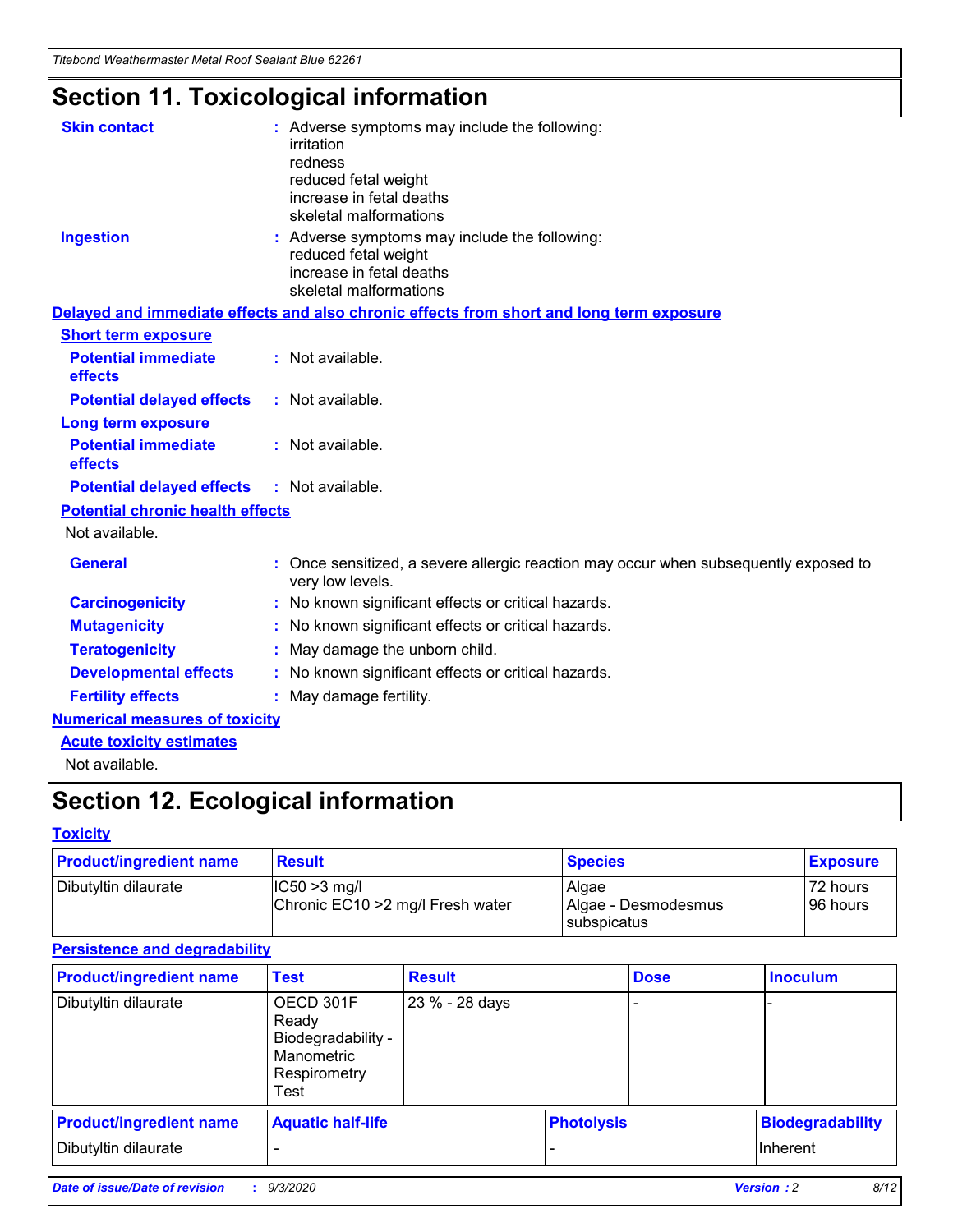*Titebond Weathermaster Metal Roof Sealant Blue 62261*

# **Section 11. Toxicological information**

| <b>Skin contact</b>                     | : Adverse symptoms may include the following:<br>irritation                                                                 |  |
|-----------------------------------------|-----------------------------------------------------------------------------------------------------------------------------|--|
|                                         | redness                                                                                                                     |  |
|                                         | reduced fetal weight<br>increase in fetal deaths                                                                            |  |
|                                         | skeletal malformations                                                                                                      |  |
| <b>Ingestion</b>                        | : Adverse symptoms may include the following:<br>reduced fetal weight<br>increase in fetal deaths<br>skeletal malformations |  |
|                                         | Delayed and immediate effects and also chronic effects from short and long term exposure                                    |  |
| <b>Short term exposure</b>              |                                                                                                                             |  |
| <b>Potential immediate</b><br>effects   | : Not available.                                                                                                            |  |
| <b>Potential delayed effects</b>        | : Not available.                                                                                                            |  |
| <b>Long term exposure</b>               |                                                                                                                             |  |
| <b>Potential immediate</b><br>effects   | : Not available.                                                                                                            |  |
| <b>Potential delayed effects</b>        | : Not available.                                                                                                            |  |
| <b>Potential chronic health effects</b> |                                                                                                                             |  |
| Not available.                          |                                                                                                                             |  |
| <b>General</b>                          | Once sensitized, a severe allergic reaction may occur when subsequently exposed to<br>very low levels.                      |  |
| <b>Carcinogenicity</b>                  | : No known significant effects or critical hazards.                                                                         |  |
| <b>Mutagenicity</b>                     | : No known significant effects or critical hazards.                                                                         |  |
| <b>Teratogenicity</b>                   | May damage the unborn child.                                                                                                |  |
| <b>Developmental effects</b>            | : No known significant effects or critical hazards.                                                                         |  |
| <b>Fertility effects</b>                | May damage fertility.                                                                                                       |  |
| <b>Numerical measures of toxicity</b>   |                                                                                                                             |  |
| <b>Acute toxicity estimates</b>         |                                                                                                                             |  |
| الملحلة والمستحيط والمسالم              |                                                                                                                             |  |

Not available.

# **Section 12. Ecological information**

#### **Toxicity**

| <b>Product/ingredient name</b> | <b>Result</b>                                       | <b>Species</b>               | <b>Exposure</b>       |
|--------------------------------|-----------------------------------------------------|------------------------------|-----------------------|
| Dibutyltin dilaurate           | $ CC50>3$ mg/l<br>Chronic EC10 > 2 mg/l Fresh water | Algae<br>Algae - Desmodesmus | 72 hours<br>196 hours |
|                                |                                                     | <b>I</b> subspicatus         |                       |

#### **Persistence and degradability**

| <b>Product/ingredient name</b> | <b>Test</b>                                                                    | <b>Result</b>  |                   | <b>Dose</b> | <b>Inoculum</b>         |
|--------------------------------|--------------------------------------------------------------------------------|----------------|-------------------|-------------|-------------------------|
| Dibutyltin dilaurate           | OECD 301F<br>Ready<br>Biodegradability -<br>Manometric<br>Respirometry<br>Test | 23 % - 28 days |                   |             |                         |
| <b>Product/ingredient name</b> | <b>Aquatic half-life</b>                                                       |                | <b>Photolysis</b> |             | <b>Biodegradability</b> |
| Dibutyltin dilaurate           |                                                                                |                |                   |             | <b>Inherent</b>         |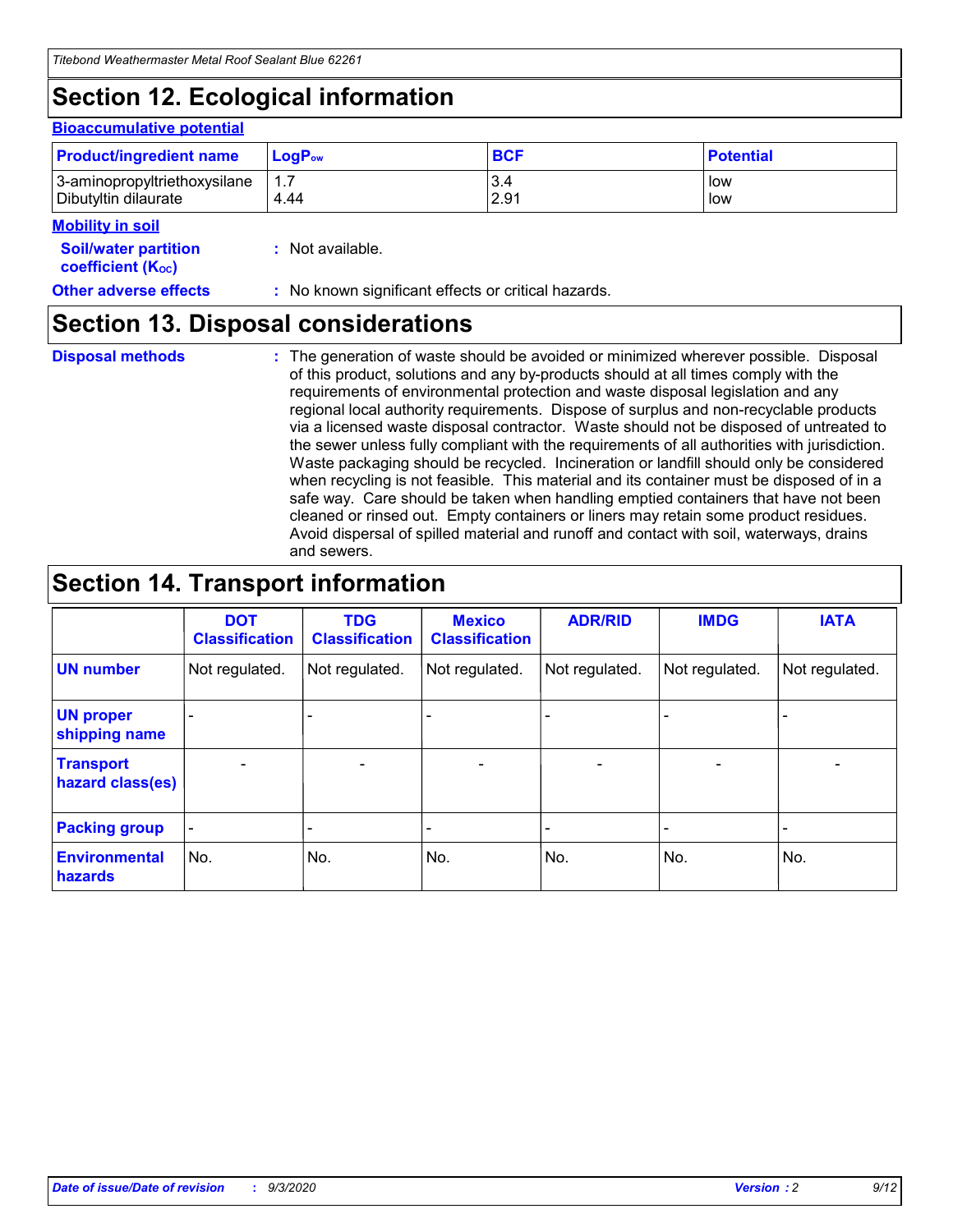# **Section 12. Ecological information**

#### **Bioaccumulative potential**

| <b>Product/ingredient name</b> | $LoaPow$ | <b>BCF</b> | <b>Potential</b> |
|--------------------------------|----------|------------|------------------|
| 3-aminopropyltriethoxysilane   | 1.7      | 3.4        | low              |
| Dibutyltin dilaurate           | 4.44     | 2.91       | low              |

#### **Mobility in soil**

| IVIVNIIILY III JVII<br><b>Soil/water partition</b><br>coefficient (K <sub>oc</sub> ) | : Not available.                                    |
|--------------------------------------------------------------------------------------|-----------------------------------------------------|
| <b>Other adverse effects</b>                                                         | : No known significant effects or critical hazards. |

### **Section 13. Disposal considerations**

**Disposal methods :**

The generation of waste should be avoided or minimized wherever possible. Disposal of this product, solutions and any by-products should at all times comply with the requirements of environmental protection and waste disposal legislation and any regional local authority requirements. Dispose of surplus and non-recyclable products via a licensed waste disposal contractor. Waste should not be disposed of untreated to the sewer unless fully compliant with the requirements of all authorities with jurisdiction. Waste packaging should be recycled. Incineration or landfill should only be considered when recycling is not feasible. This material and its container must be disposed of in a safe way. Care should be taken when handling emptied containers that have not been cleaned or rinsed out. Empty containers or liners may retain some product residues. Avoid dispersal of spilled material and runoff and contact with soil, waterways, drains and sewers.

### **Section 14. Transport information**

|                                      | <b>DOT</b><br><b>Classification</b> | <b>TDG</b><br><b>Classification</b> | <b>Mexico</b><br><b>Classification</b> | <b>ADR/RID</b>           | <b>IMDG</b>              | <b>IATA</b>    |
|--------------------------------------|-------------------------------------|-------------------------------------|----------------------------------------|--------------------------|--------------------------|----------------|
| <b>UN number</b>                     | Not regulated.                      | Not regulated.                      | Not regulated.                         | Not regulated.           | Not regulated.           | Not regulated. |
| <b>UN proper</b><br>shipping name    |                                     |                                     |                                        |                          |                          |                |
| <b>Transport</b><br>hazard class(es) |                                     | $\overline{\phantom{0}}$            | $\qquad \qquad \blacksquare$           | $\overline{\phantom{0}}$ | $\overline{\phantom{0}}$ |                |
| <b>Packing group</b>                 |                                     |                                     |                                        |                          |                          |                |
| <b>Environmental</b><br>hazards      | No.                                 | No.                                 | No.                                    | No.                      | No.                      | No.            |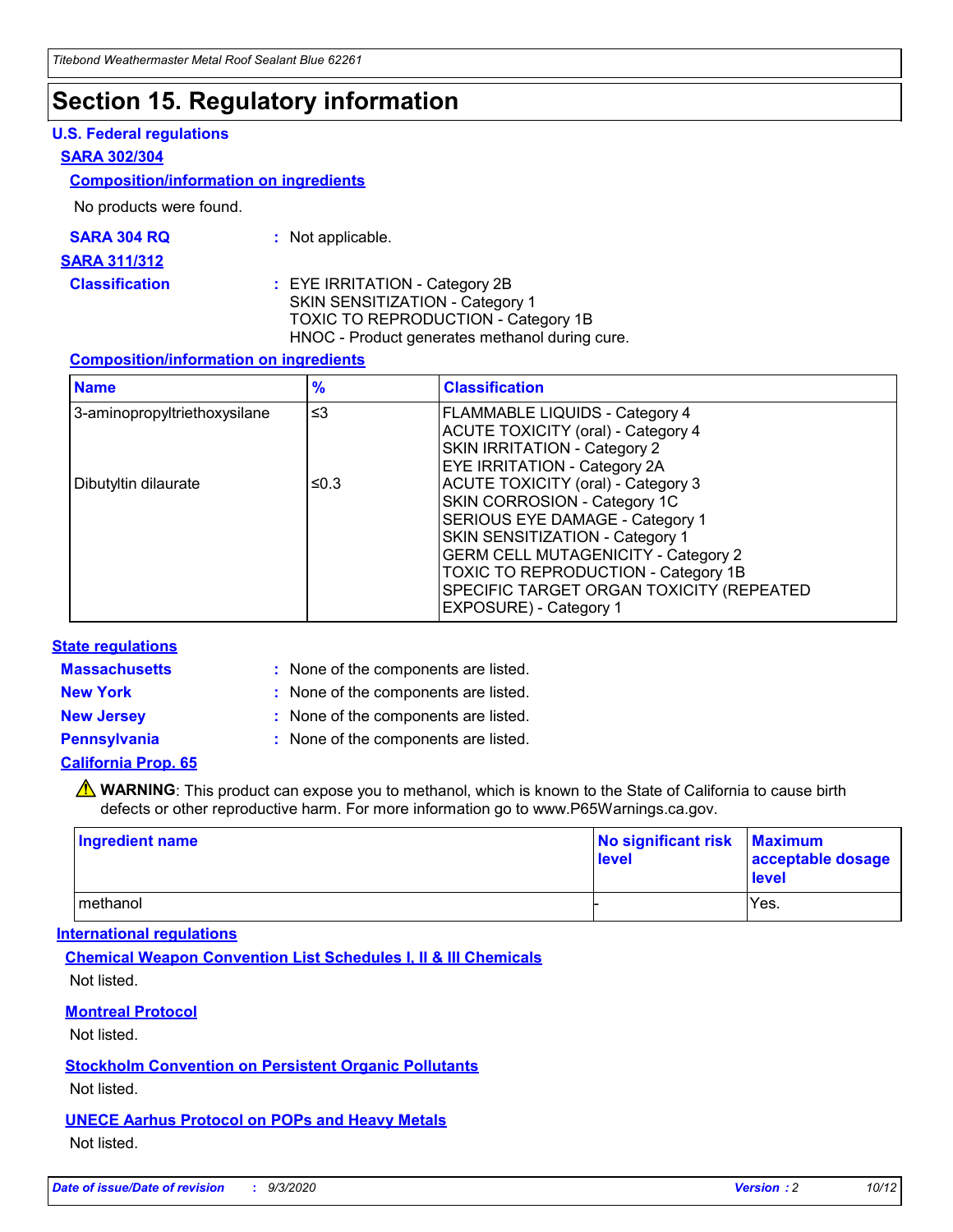## **Section 15. Regulatory information**

#### **U.S. Federal regulations**

#### **SARA 302/304**

#### **Composition/information on ingredients**

No products were found.

| SARA 304 RQ | Not applicable. |
|-------------|-----------------|
|-------------|-----------------|

#### **SARA 311/312**

**Classification :** EYE IRRITATION - Category 2B SKIN SENSITIZATION - Category 1 TOXIC TO REPRODUCTION - Category 1B HNOC - Product generates methanol during cure.

#### **Composition/information on ingredients**

| <b>Name</b>                  | $\frac{9}{6}$ | <b>Classification</b>                                                                                                                                                                                                                                                                                      |
|------------------------------|---------------|------------------------------------------------------------------------------------------------------------------------------------------------------------------------------------------------------------------------------------------------------------------------------------------------------------|
| 3-aminopropyltriethoxysilane | $\leq$ 3      | <b>FLAMMABLE LIQUIDS - Category 4</b><br><b>ACUTE TOXICITY (oral) - Category 4</b><br><b>SKIN IRRITATION - Category 2</b><br>EYE IRRITATION - Category 2A                                                                                                                                                  |
| Dibutyltin dilaurate         | ≤0.3          | <b>ACUTE TOXICITY (oral) - Category 3</b><br>SKIN CORROSION - Category 1C<br>SERIOUS EYE DAMAGE - Category 1<br>SKIN SENSITIZATION - Category 1<br><b>GERM CELL MUTAGENICITY - Category 2</b><br>TOXIC TO REPRODUCTION - Category 1B<br>SPECIFIC TARGET ORGAN TOXICITY (REPEATED<br>EXPOSURE) - Category 1 |

#### **State regulations**

**Massachusetts :**

: None of the components are listed.

**New York :** None of the components are listed. **New Jersey :** None of the components are listed.

**Pennsylvania :** None of the components are listed.

#### **California Prop. 65**

WARNING: This product can expose you to methanol, which is known to the State of California to cause birth defects or other reproductive harm. For more information go to www.P65Warnings.ca.gov.

| Ingredient name | No significant risk Maximum<br>level | acceptable dosage<br><b>level</b> |
|-----------------|--------------------------------------|-----------------------------------|
| I methanol      |                                      | Yes.                              |

#### **International regulations**

**Chemical Weapon Convention List Schedules I, II & III Chemicals** Not listed.

#### **Montreal Protocol**

Not listed.

**Stockholm Convention on Persistent Organic Pollutants**

Not listed.

#### **UNECE Aarhus Protocol on POPs and Heavy Metals** Not listed.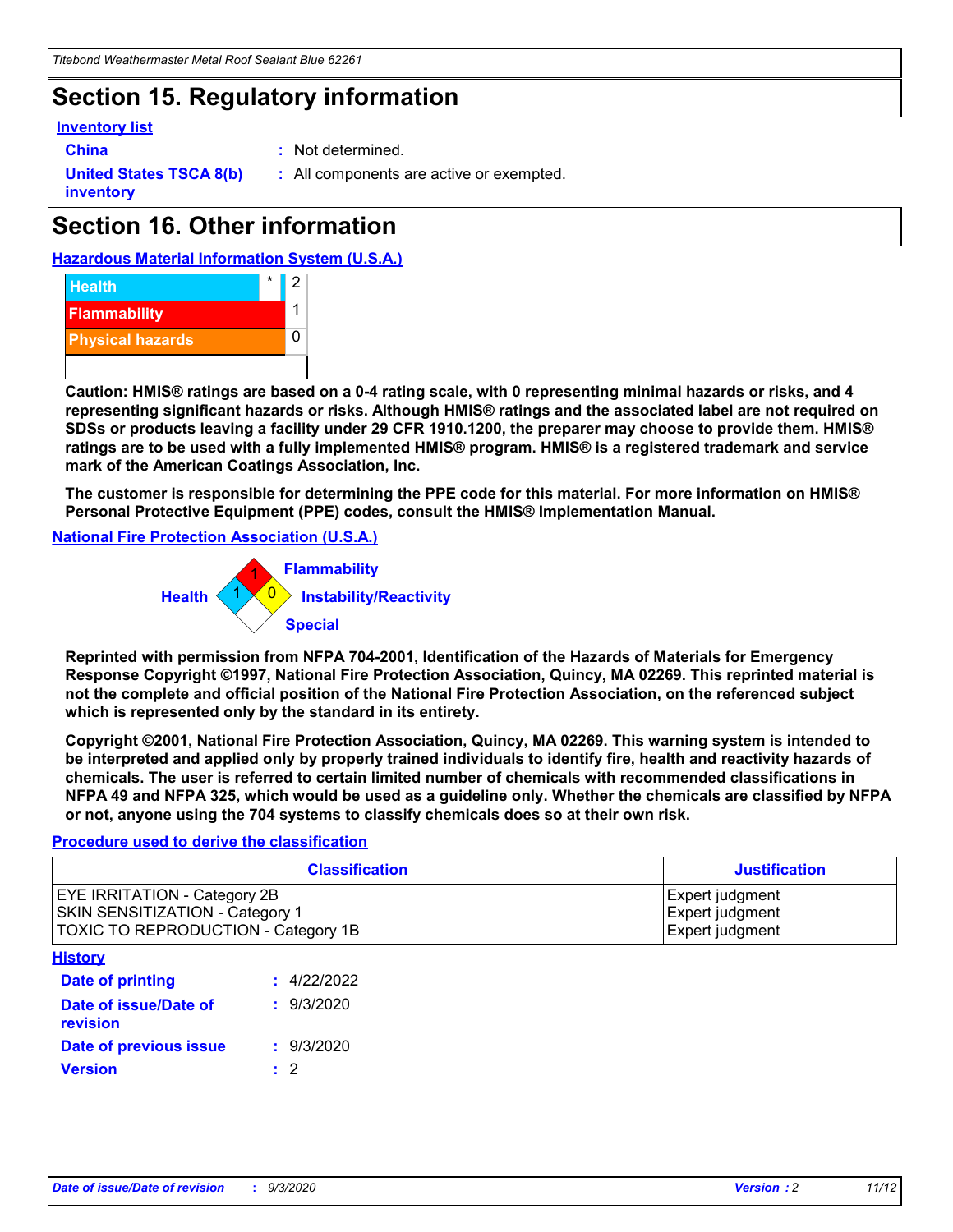## **Section 15. Regulatory information**

#### **Inventory list**

- 
- **China :** Not determined.

**United States TSCA 8(b) inventory**

**:** All components are active or exempted.

# **Section 16. Other information**





**Caution: HMIS® ratings are based on a 0-4 rating scale, with 0 representing minimal hazards or risks, and 4 representing significant hazards or risks. Although HMIS® ratings and the associated label are not required on SDSs or products leaving a facility under 29 CFR 1910.1200, the preparer may choose to provide them. HMIS® ratings are to be used with a fully implemented HMIS® program. HMIS® is a registered trademark and service mark of the American Coatings Association, Inc.**

**The customer is responsible for determining the PPE code for this material. For more information on HMIS® Personal Protective Equipment (PPE) codes, consult the HMIS® Implementation Manual.**

**National Fire Protection Association (U.S.A.)**



**Reprinted with permission from NFPA 704-2001, Identification of the Hazards of Materials for Emergency Response Copyright ©1997, National Fire Protection Association, Quincy, MA 02269. This reprinted material is not the complete and official position of the National Fire Protection Association, on the referenced subject which is represented only by the standard in its entirety.**

**Copyright ©2001, National Fire Protection Association, Quincy, MA 02269. This warning system is intended to be interpreted and applied only by properly trained individuals to identify fire, health and reactivity hazards of chemicals. The user is referred to certain limited number of chemicals with recommended classifications in NFPA 49 and NFPA 325, which would be used as a guideline only. Whether the chemicals are classified by NFPA or not, anyone using the 704 systems to classify chemicals does so at their own risk.**

#### **Procedure used to derive the classification**

| <b>Classification</b>                                                                                                | <b>Justification</b>                                  |
|----------------------------------------------------------------------------------------------------------------------|-------------------------------------------------------|
| <b>EYE IRRITATION - Category 2B</b><br><b>SKIN SENSITIZATION - Category 1</b><br>TOXIC TO REPRODUCTION - Category 1B | Expert judgment<br>Expert judgment<br>Expert judgment |
| <b>History</b>                                                                                                       |                                                       |

| <b>Date of printing</b>           | : 4/22/2022 |
|-----------------------------------|-------------|
| Date of issue/Date of<br>revision | : 9/3/2020  |
| Date of previous issue            | : 9/3/2020  |
| <b>Version</b>                    | $\cdot$ 2   |
|                                   |             |